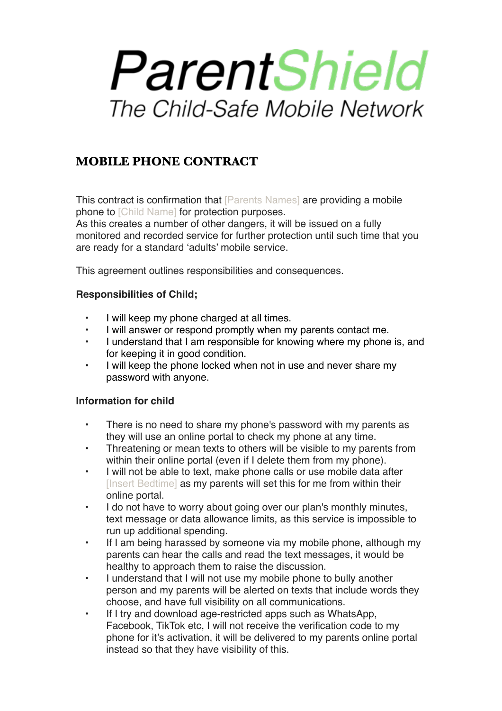# ParentShield The Child-Safe Mobile Network

# **MOBILE PHONE CONTRACT**

This contract is confirmation that **[Parents Names]** are providing a mobile phone to [Child Name] for protection purposes.

As this creates a number of other dangers, it will be issued on a fully monitored and recorded service for further protection until such time that you are ready for a standard 'adults' mobile service.

This agreement outlines responsibilities and consequences.

## **Responsibilities of Child;**

- I will keep my phone charged at all times.
- I will answer or respond promptly when my parents contact me.
- I understand that I am responsible for knowing where my phone is, and for keeping it in good condition.
- I will keep the phone locked when not in use and never share my password with anyone.

## **Information for child**

- There is no need to share my phone's password with my parents as they will use an online portal to check my phone at any time.
- Threatening or mean texts to others will be visible to my parents from within their online portal (even if I delete them from my phone).
- I will not be able to text, make phone calls or use mobile data after [Insert Bedtime] as my parents will set this for me from within their online portal.
- I do not have to worry about going over our plan's monthly minutes, text message or data allowance limits, as this service is impossible to run up additional spending.
- If I am being harassed by someone via my mobile phone, although my parents can hear the calls and read the text messages, it would be healthy to approach them to raise the discussion.
- I understand that I will not use my mobile phone to bully another person and my parents will be alerted on texts that include words they choose, and have full visibility on all communications.
- If I try and download age-restricted apps such as WhatsApp, Facebook, TikTok etc, I will not receive the verification code to my phone for it's activation, it will be delivered to my parents online portal instead so that they have visibility of this.